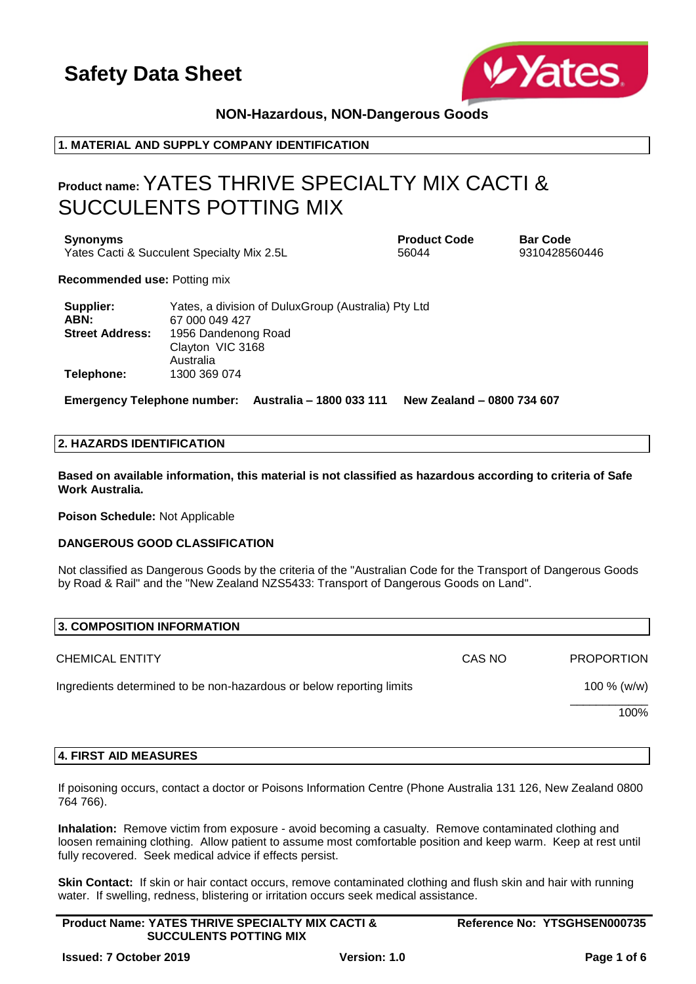

### **NON-Hazardous, NON-Dangerous Goods**

### **1. MATERIAL AND SUPPLY COMPANY IDENTIFICATION**

## **Product name:** YATES THRIVE SPECIALTY MIX CACTI & SUCCULENTS POTTING MIX

**Synonyms Product Code Bar Code** Yates Cacti & Succulent Specialty Mix 2.5L 56044 56044 9310428560446

**Recommended use:** Potting mix

| Supplier:              | Yates, a division of DuluxGroup (Australia) Pty Ltd |
|------------------------|-----------------------------------------------------|
| ABN:                   | 67 000 049 427                                      |
| <b>Street Address:</b> | 1956 Dandenong Road                                 |
|                        | Clayton VIC 3168                                    |
|                        | Australia                                           |
| Telephone:             | 1300 369 074                                        |

**Emergency Telephone number: Australia – 1800 033 111 New Zealand – 0800 734 607**

#### **2. HAZARDS IDENTIFICATION**

**Based on available information, this material is not classified as hazardous according to criteria of Safe Work Australia.**

**Poison Schedule:** Not Applicable

#### **DANGEROUS GOOD CLASSIFICATION**

Not classified as Dangerous Goods by the criteria of the "Australian Code for the Transport of Dangerous Goods by Road & Rail" and the "New Zealand NZS5433: Transport of Dangerous Goods on Land".

| 3. COMPOSITION INFORMATION                                           |        |                   |
|----------------------------------------------------------------------|--------|-------------------|
| <b>CHEMICAL ENTITY</b>                                               | CAS NO | <b>PROPORTION</b> |
| Ingredients determined to be non-hazardous or below reporting limits |        | 100 $% (w/w)$     |
|                                                                      |        | 100%              |
|                                                                      |        |                   |

#### **4. FIRST AID MEASURES**

If poisoning occurs, contact a doctor or Poisons Information Centre (Phone Australia 131 126, New Zealand 0800 764 766).

**Inhalation:** Remove victim from exposure - avoid becoming a casualty. Remove contaminated clothing and loosen remaining clothing. Allow patient to assume most comfortable position and keep warm. Keep at rest until fully recovered. Seek medical advice if effects persist.

**Skin Contact:** If skin or hair contact occurs, remove contaminated clothing and flush skin and hair with running water. If swelling, redness, blistering or irritation occurs seek medical assistance.

| <b>Product Name: YATES THRIVE SPECIALTY MIX CACTI &amp;</b> | Reference No: YTSGHSEN000735 |
|-------------------------------------------------------------|------------------------------|
| <b>SUCCULENTS POTTING MIX</b>                               |                              |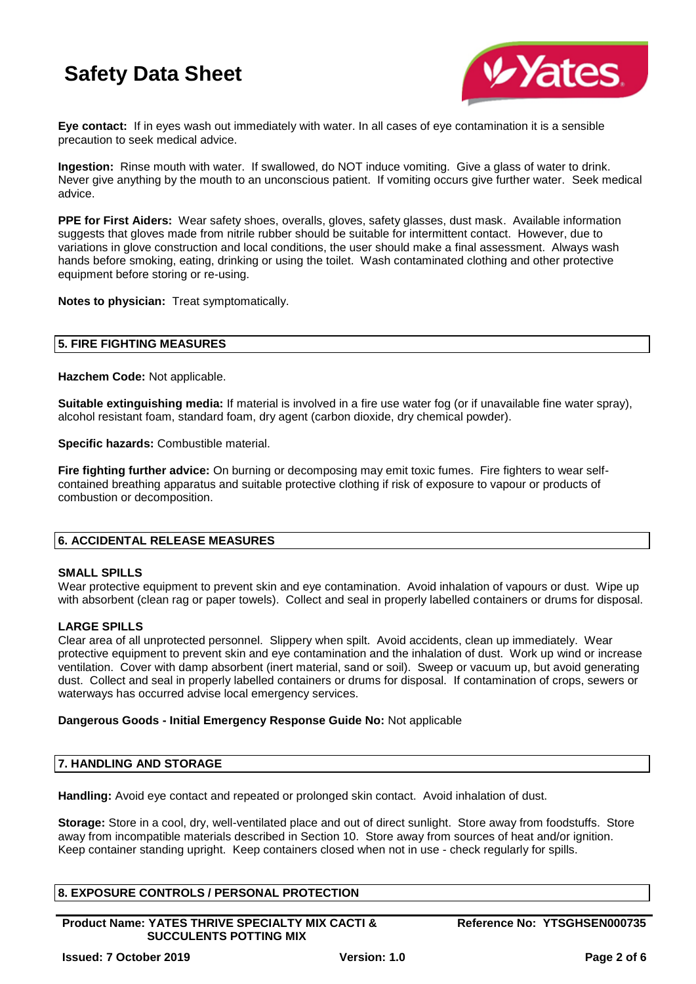

**Eye contact:** If in eyes wash out immediately with water. In all cases of eye contamination it is a sensible precaution to seek medical advice.

**Ingestion:** Rinse mouth with water. If swallowed, do NOT induce vomiting. Give a glass of water to drink. Never give anything by the mouth to an unconscious patient. If vomiting occurs give further water. Seek medical advice.

**PPE for First Aiders:** Wear safety shoes, overalls, gloves, safety glasses, dust mask. Available information suggests that gloves made from nitrile rubber should be suitable for intermittent contact. However, due to variations in glove construction and local conditions, the user should make a final assessment. Always wash hands before smoking, eating, drinking or using the toilet. Wash contaminated clothing and other protective equipment before storing or re-using.

**Notes to physician:** Treat symptomatically.

### **5. FIRE FIGHTING MEASURES**

**Hazchem Code:** Not applicable.

**Suitable extinguishing media:** If material is involved in a fire use water fog (or if unavailable fine water spray), alcohol resistant foam, standard foam, dry agent (carbon dioxide, dry chemical powder).

**Specific hazards:** Combustible material.

**Fire fighting further advice:** On burning or decomposing may emit toxic fumes. Fire fighters to wear selfcontained breathing apparatus and suitable protective clothing if risk of exposure to vapour or products of combustion or decomposition.

### **6. ACCIDENTAL RELEASE MEASURES**

#### **SMALL SPILLS**

Wear protective equipment to prevent skin and eye contamination. Avoid inhalation of vapours or dust. Wipe up with absorbent (clean rag or paper towels). Collect and seal in properly labelled containers or drums for disposal.

#### **LARGE SPILLS**

Clear area of all unprotected personnel. Slippery when spilt. Avoid accidents, clean up immediately. Wear protective equipment to prevent skin and eye contamination and the inhalation of dust. Work up wind or increase ventilation. Cover with damp absorbent (inert material, sand or soil). Sweep or vacuum up, but avoid generating dust. Collect and seal in properly labelled containers or drums for disposal. If contamination of crops, sewers or waterways has occurred advise local emergency services.

#### **Dangerous Goods - Initial Emergency Response Guide No:** Not applicable

#### **7. HANDLING AND STORAGE**

**Handling:** Avoid eye contact and repeated or prolonged skin contact. Avoid inhalation of dust.

**Storage:** Store in a cool, dry, well-ventilated place and out of direct sunlight. Store away from foodstuffs. Store away from incompatible materials described in Section 10. Store away from sources of heat and/or ignition. Keep container standing upright. Keep containers closed when not in use - check regularly for spills.

### **8. EXPOSURE CONTROLS / PERSONAL PROTECTION**

**Product Name: YATES THRIVE SPECIALTY MIX CACTI & SUCCULENTS POTTING MIX**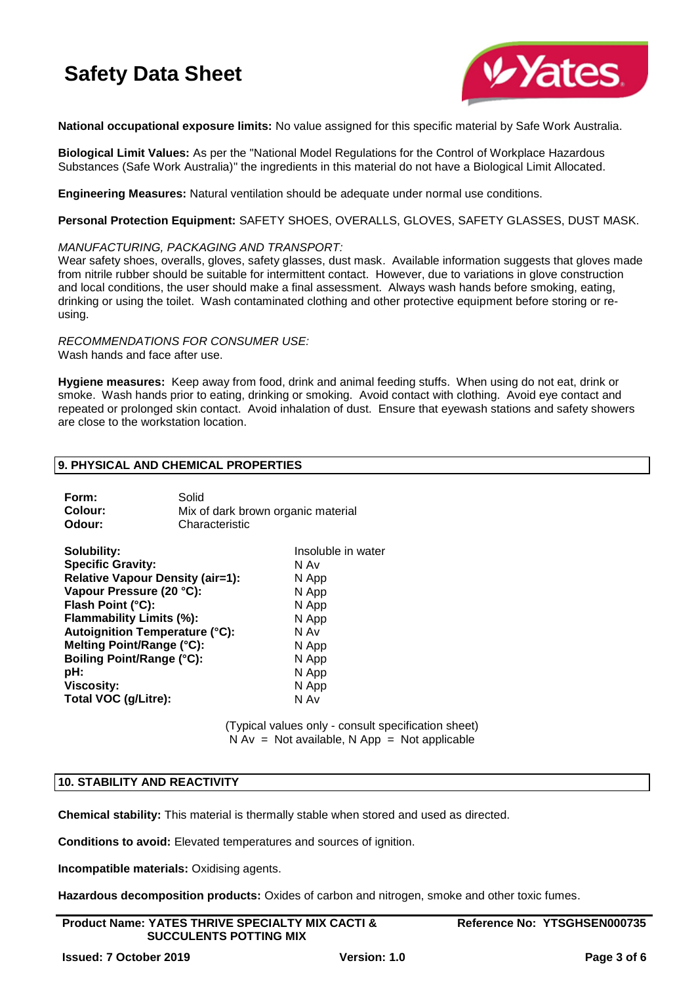

**National occupational exposure limits:** No value assigned for this specific material by Safe Work Australia.

**Biological Limit Values:** As per the "National Model Regulations for the Control of Workplace Hazardous Substances (Safe Work Australia)" the ingredients in this material do not have a Biological Limit Allocated.

**Engineering Measures:** Natural ventilation should be adequate under normal use conditions.

**Personal Protection Equipment:** SAFETY SHOES, OVERALLS, GLOVES, SAFETY GLASSES, DUST MASK.

*MANUFACTURING, PACKAGING AND TRANSPORT:*

Wear safety shoes, overalls, gloves, safety glasses, dust mask. Available information suggests that gloves made from nitrile rubber should be suitable for intermittent contact. However, due to variations in glove construction and local conditions, the user should make a final assessment. Always wash hands before smoking, eating, drinking or using the toilet. Wash contaminated clothing and other protective equipment before storing or reusing.

*RECOMMENDATIONS FOR CONSUMER USE:* Wash hands and face after use.

**Hygiene measures:** Keep away from food, drink and animal feeding stuffs. When using do not eat, drink or smoke. Wash hands prior to eating, drinking or smoking. Avoid contact with clothing. Avoid eye contact and repeated or prolonged skin contact. Avoid inhalation of dust. Ensure that eyewash stations and safety showers are close to the workstation location.

### **9. PHYSICAL AND CHEMICAL PROPERTIES**

| Form:   | Solid                              |
|---------|------------------------------------|
| Colour: | Mix of dark brown organic material |
| Odour:  | Characteristic                     |

| Solubility:                             | Insoluble in water |
|-----------------------------------------|--------------------|
| <b>Specific Gravity:</b>                | N Av               |
| <b>Relative Vapour Density (air=1):</b> | N App              |
| Vapour Pressure (20 °C):                | N App              |
| Flash Point (°C):                       | N App              |
| Flammability Limits (%):                | N App              |
| <b>Autoignition Temperature (°C):</b>   | N Av               |
| Melting Point/Range (°C):               | N App              |
| <b>Boiling Point/Range (°C):</b>        | N App              |
| pH:                                     | N App              |
| <b>Viscosity:</b>                       | N App              |
| Total VOC (g/Litre):                    | N Av               |

(Typical values only - consult specification sheet)  $N Av = Not available, N App = Not applicable$ 

#### **10. STABILITY AND REACTIVITY**

**Chemical stability:** This material is thermally stable when stored and used as directed.

**Conditions to avoid:** Elevated temperatures and sources of ignition.

**Incompatible materials:** Oxidising agents.

**Hazardous decomposition products:** Oxides of carbon and nitrogen, smoke and other toxic fumes.

| <b>Product Name: YATES THRIVE SPECIALTY MIX CACTI &amp;</b> |
|-------------------------------------------------------------|
| <b>SUCCULENTS POTTING MIX</b>                               |

**Reference No: YTSGHSEN000735**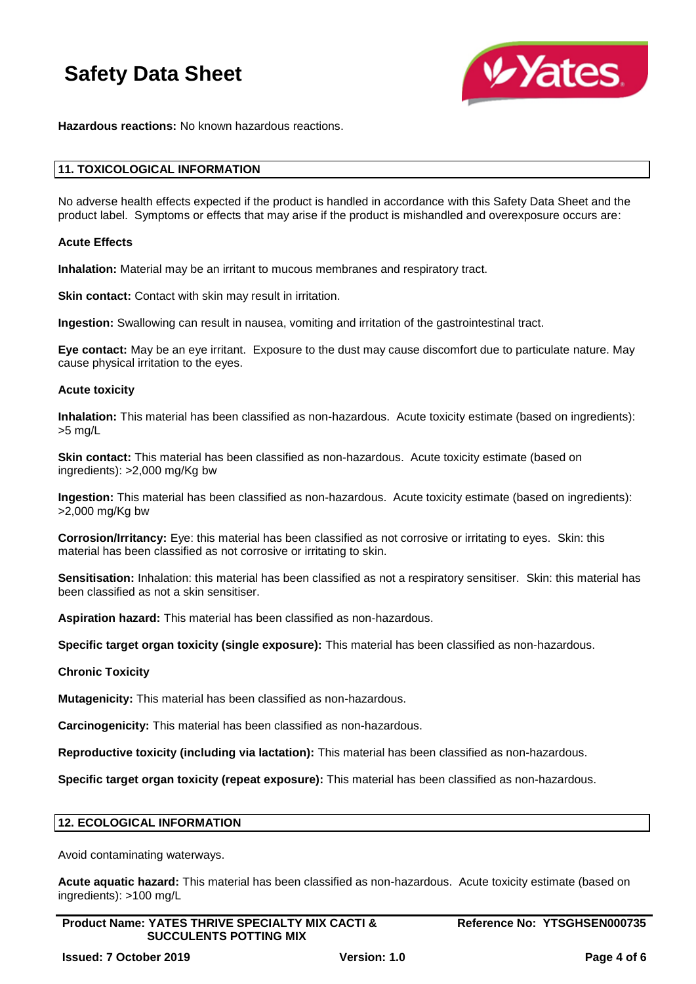

**Hazardous reactions:** No known hazardous reactions.

#### **11. TOXICOLOGICAL INFORMATION**

No adverse health effects expected if the product is handled in accordance with this Safety Data Sheet and the product label. Symptoms or effects that may arise if the product is mishandled and overexposure occurs are:

#### **Acute Effects**

**Inhalation:** Material may be an irritant to mucous membranes and respiratory tract.

**Skin contact:** Contact with skin may result in irritation.

**Ingestion:** Swallowing can result in nausea, vomiting and irritation of the gastrointestinal tract.

**Eye contact:** May be an eye irritant. Exposure to the dust may cause discomfort due to particulate nature. May cause physical irritation to the eyes.

#### **Acute toxicity**

**Inhalation:** This material has been classified as non-hazardous. Acute toxicity estimate (based on ingredients): >5 mg/L

**Skin contact:** This material has been classified as non-hazardous. Acute toxicity estimate (based on ingredients): >2,000 mg/Kg bw

**Ingestion:** This material has been classified as non-hazardous. Acute toxicity estimate (based on ingredients): >2,000 mg/Kg bw

**Corrosion/Irritancy:** Eye: this material has been classified as not corrosive or irritating to eyes. Skin: this material has been classified as not corrosive or irritating to skin.

**Sensitisation:** Inhalation: this material has been classified as not a respiratory sensitiser. Skin: this material has been classified as not a skin sensitiser.

**Aspiration hazard:** This material has been classified as non-hazardous.

**Specific target organ toxicity (single exposure):** This material has been classified as non-hazardous.

#### **Chronic Toxicity**

**Mutagenicity:** This material has been classified as non-hazardous.

**Carcinogenicity:** This material has been classified as non-hazardous.

**Reproductive toxicity (including via lactation):** This material has been classified as non-hazardous.

**Specific target organ toxicity (repeat exposure):** This material has been classified as non-hazardous.

#### **12. ECOLOGICAL INFORMATION**

Avoid contaminating waterways.

**Acute aquatic hazard:** This material has been classified as non-hazardous. Acute toxicity estimate (based on ingredients): >100 mg/L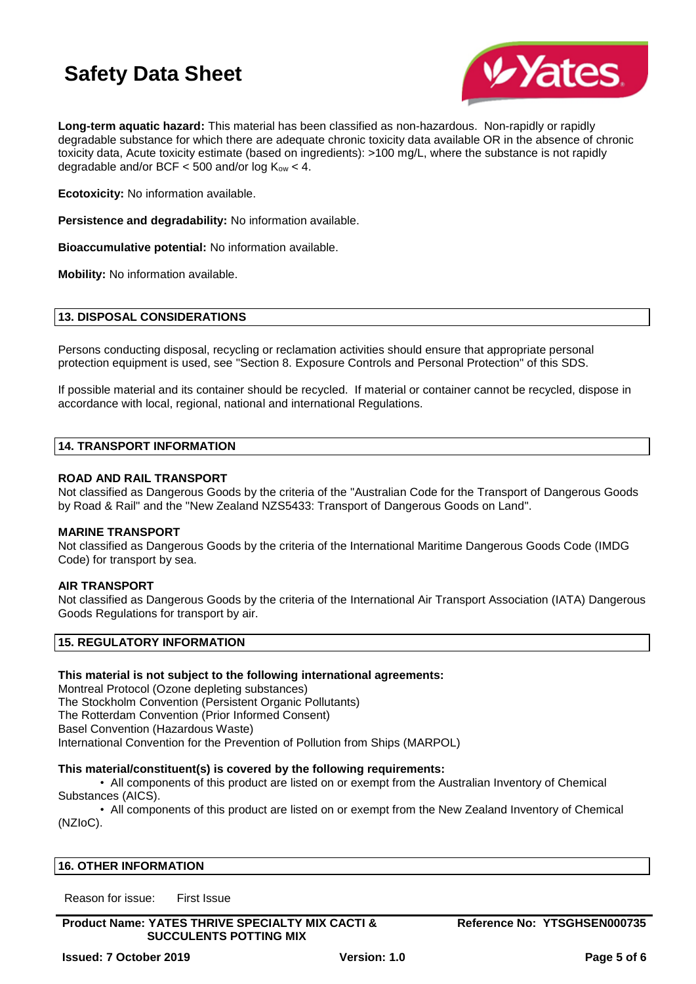

**Long-term aquatic hazard:** This material has been classified as non-hazardous. Non-rapidly or rapidly degradable substance for which there are adequate chronic toxicity data available OR in the absence of chronic toxicity data, Acute toxicity estimate (based on ingredients): >100 mg/L, where the substance is not rapidly degradable and/or BCF  $<$  500 and/or log  $K_{ow}$   $<$  4.

**Ecotoxicity:** No information available.

**Persistence and degradability:** No information available.

**Bioaccumulative potential:** No information available.

**Mobility:** No information available.

#### **13. DISPOSAL CONSIDERATIONS**

Persons conducting disposal, recycling or reclamation activities should ensure that appropriate personal protection equipment is used, see "Section 8. Exposure Controls and Personal Protection" of this SDS.

If possible material and its container should be recycled. If material or container cannot be recycled, dispose in accordance with local, regional, national and international Regulations.

#### **14. TRANSPORT INFORMATION**

#### **ROAD AND RAIL TRANSPORT**

Not classified as Dangerous Goods by the criteria of the "Australian Code for the Transport of Dangerous Goods by Road & Rail" and the "New Zealand NZS5433: Transport of Dangerous Goods on Land".

#### **MARINE TRANSPORT**

Not classified as Dangerous Goods by the criteria of the International Maritime Dangerous Goods Code (IMDG Code) for transport by sea.

#### **AIR TRANSPORT**

Not classified as Dangerous Goods by the criteria of the International Air Transport Association (IATA) Dangerous Goods Regulations for transport by air.

#### **15. REGULATORY INFORMATION**

#### **This material is not subject to the following international agreements:**

Montreal Protocol (Ozone depleting substances) The Stockholm Convention (Persistent Organic Pollutants) The Rotterdam Convention (Prior Informed Consent) Basel Convention (Hazardous Waste) International Convention for the Prevention of Pollution from Ships (MARPOL)

#### **This material/constituent(s) is covered by the following requirements:**

• All components of this product are listed on or exempt from the Australian Inventory of Chemical Substances (AICS).

• All components of this product are listed on or exempt from the New Zealand Inventory of Chemical (NZIoC).

#### **16. OTHER INFORMATION**

Reason for issue: First Issue

**Product Name: YATES THRIVE SPECIALTY MIX CACTI & SUCCULENTS POTTING MIX**

**Reference No: YTSGHSEN000735**